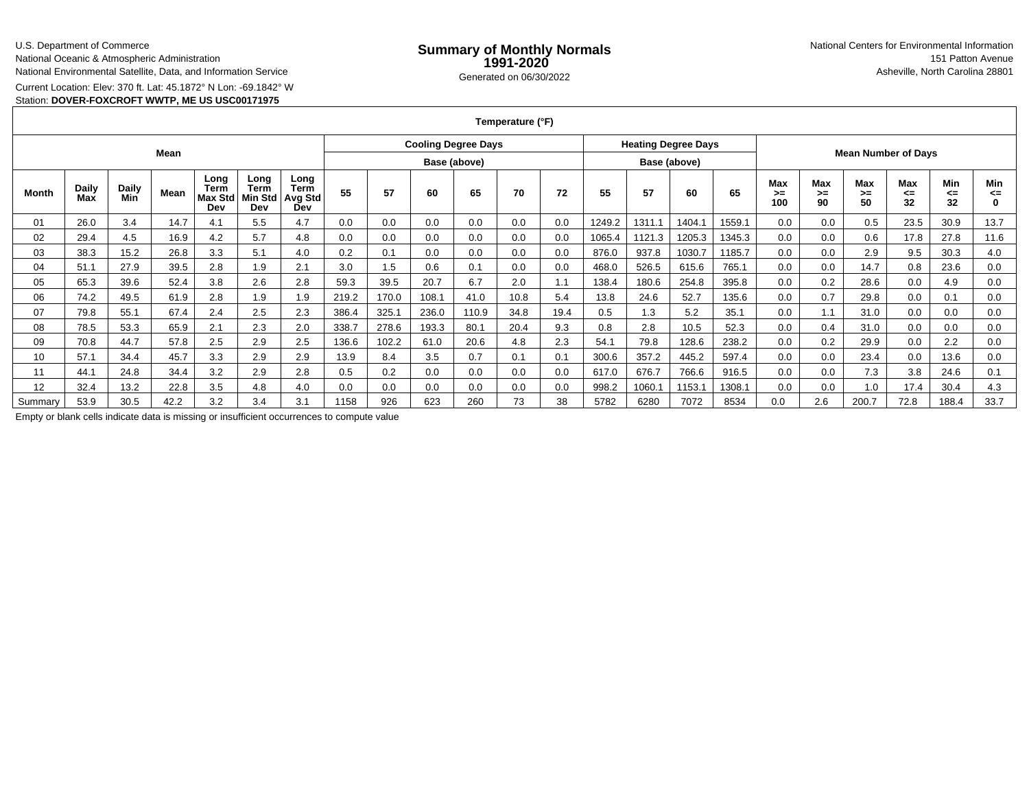### U.S. Department of Commerce

National Oceanic & Atmospheric Administration

National Environmental Satellite, Data, and Information Service

Current Location: Elev: 370 ft. Lat: 45.1872° N Lon: -69.1842° W

# Station: **DOVER-FOXCROFT WWTP, ME US USC00171975**

**Temperature (°F)**

|         |              |                     |      |                                       |                                |                                       | <b>Cooling Degree Days</b> |       |       |       |      |              | <b>Heating Degree Days</b> |        |        |                            |                  |                   |                 |                        |                        |                          |
|---------|--------------|---------------------|------|---------------------------------------|--------------------------------|---------------------------------------|----------------------------|-------|-------|-------|------|--------------|----------------------------|--------|--------|----------------------------|------------------|-------------------|-----------------|------------------------|------------------------|--------------------------|
| Mean    |              |                     |      |                                       |                                |                                       | Base (above)               |       |       |       |      | Base (above) |                            |        |        | <b>Mean Number of Days</b> |                  |                   |                 |                        |                        |                          |
| Month   | Daily<br>Max | <b>Daily</b><br>Min | Mean | Long<br>Term<br><b>Max Std</b><br>Dev | Long<br>Term<br>Min Std<br>Dev | Long<br><b>Term</b><br>Avg Std<br>Dev | 55                         | 57    | 60    | 65    | 70   | 72           | 55                         | 57     | 60     | 65                         | Max<br>>≕<br>100 | Max<br>$>=$<br>90 | Max<br>>=<br>50 | <b>Max</b><br><=<br>32 | <b>Min</b><br><=<br>32 | Min<br><=<br>$\mathbf 0$ |
| 01      | 26.0         | 3.4                 | 14.7 | 4.1                                   | 5.5                            | 4.7                                   | 0.0                        | 0.0   | 0.0   | 0.0   | 0.0  | 0.0          | 1249.2                     | 1311.1 | 1404.1 | 1559.1                     | 0.0              | 0.0               | 0.5             | 23.5                   | 30.9                   | 13.7                     |
| 02      | 29.4         | 4.5                 | 16.9 | 4.2                                   | 5.7                            | 4.8                                   | 0.0                        | 0.0   | 0.0   | 0.0   | 0.0  | 0.0          | 1065.4                     | 1121.3 | 1205.3 | 1345.3                     | 0.0              | 0.0               | 0.6             | 17.8                   | 27.8                   | 11.6                     |
| 03      | 38.3         | 15.2                | 26.8 | 3.3                                   | 5.1                            | 4.0                                   | 0.2                        | 0.1   | 0.0   | 0.0   | 0.0  | 0.0          | 876.0                      | 937.8  | 1030.7 | 1185.7                     | 0.0              | 0.0               | 2.9             | 9.5                    | 30.3                   | 4.0                      |
| 04      | 51.1         | 27.9                | 39.5 | 2.8                                   | 1.9                            | 2.1                                   | 3.0                        | 1.5   | 0.6   | 0.1   | 0.0  | 0.0          | 468.0                      | 526.5  | 615.6  | 765.1                      | 0.0              | 0.0               | 14.7            | 0.8                    | 23.6                   | 0.0                      |
| 05      | 65.3         | 39.6                | 52.4 | 3.8                                   | 2.6                            | 2.8                                   | 59.3                       | 39.5  | 20.7  | 6.7   | 2.0  | $\cdot$ 1    | 138.4                      | 180.6  | 254.8  | 395.8                      | 0.0              | 0.2               | 28.6            | 0.0                    | 4.9                    | 0.0                      |
| 06      | 74.2         | 49.5                | 61.9 | 2.8                                   | 1.9                            | 1.9                                   | 219.2                      | 170.0 | 108.1 | 41.0  | 10.8 | 5.4          | 13.8                       | 24.6   | 52.7   | 135.6                      | 0.0              | 0.7               | 29.8            | 0.0                    | 0.1                    | 0.0                      |
| 07      | 79.8         | 55.1                | 67.4 | 2.4                                   | 2.5                            | 2.3                                   | 386.4                      | 325.7 | 236.0 | 110.9 | 34.8 | 19.4         | 0.5                        | 1.3    | 5.2    | 35.1                       | 0.0              | 1.1               | 31.0            | 0.0                    | 0.0                    | 0.0                      |
| 08      | 78.5         | 53.3                | 65.9 | 2.1                                   | 2.3                            | 2.0                                   | 338.7                      | 278.6 | 193.3 | 80.7  | 20.4 | 9.3          | 0.8                        | 2.8    | 10.5   | 52.3                       | 0.0              | 0.4               | 31.0            | 0.0                    | 0.0                    | 0.0                      |
| 09      | 70.8         | 44.7                | 57.8 | 2.5                                   | 2.9                            | 2.5                                   | 136.6                      | 102.2 | 61.0  | 20.6  | 4.8  | 2.3          | 54.1                       | 79.8   | 128.6  | 238.2                      | 0.0              | 0.2               | 29.9            | 0.0                    | 2.2                    | 0.0                      |
| 10      | 57.1         | 34.4                | 45.7 | 3.3                                   | 2.9                            | 2.9                                   | 13.9                       | 8.4   | 3.5   | 0.7   | 0.1  | 0.1          | 300.6                      | 357.2  | 445.2  | 597.4                      | 0.0              | 0.0               | 23.4            | 0.0                    | 13.6                   | 0.0                      |
| 11      | 44.1         | 24.8                | 34.4 | 3.2                                   | 2.9                            | 2.8                                   | 0.5                        | 0.2   | 0.0   | 0.0   | 0.0  | 0.0          | 617.0                      | 676.7  | 766.6  | 916.5                      | 0.0              | 0.0               | 7.3             | 3.8                    | 24.6                   | 0.1                      |
| 12      | 32.4         | 13.2                | 22.8 | 3.5                                   | 4.8                            | 4.0                                   | 0.0                        | 0.0   | 0.0   | 0.0   | 0.0  | 0.0          | 998.2                      | 1060.1 | 1153.1 | 1308.1                     | 0.0              | 0.0               | 1.0             | 17.4                   | 30.4                   | 4.3                      |
| Summary | 53.9         | 30.5                | 42.2 | 3.2                                   | 3.4                            | 3.1                                   | 1158                       | 926   | 623   | 260   | 73   | 38           | 5782                       | 6280   | 7072   | 8534                       | 0.0              | 2.6               | 200.7           | 72.8                   | 188.4                  | 33.7                     |

Empty or blank cells indicate data is missing or insufficient occurrences to compute value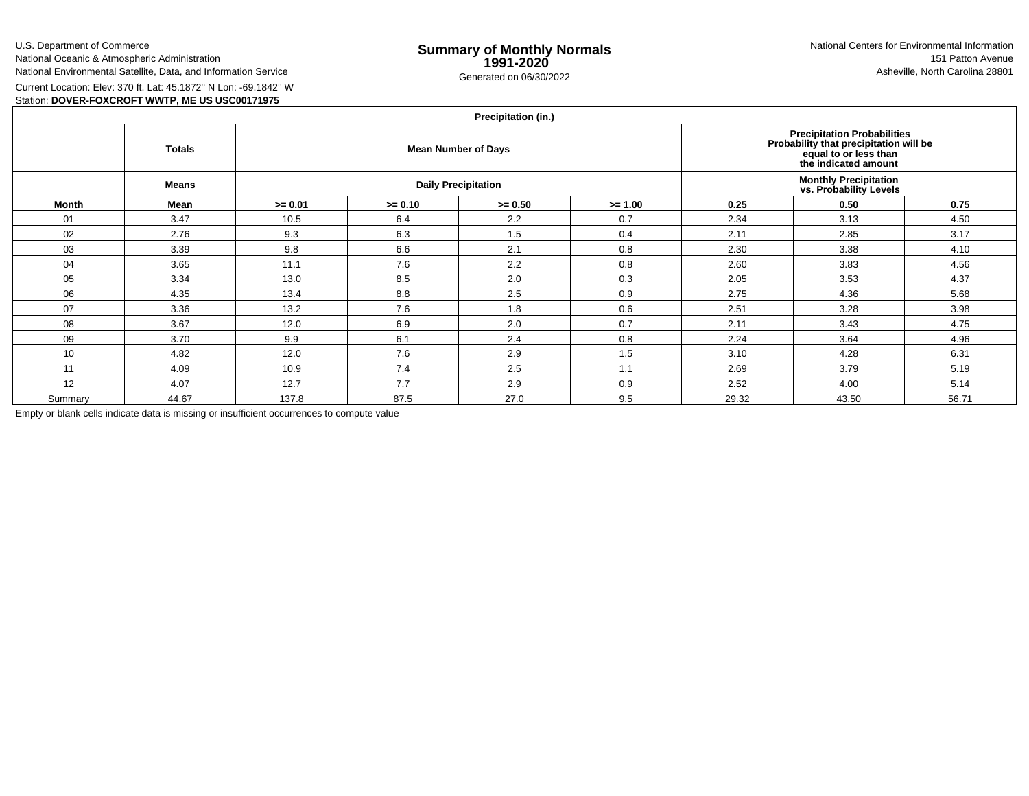U.S. Department of CommerceNational Oceanic & Atmospheric Administration

National Environmental Satellite, Data, and Information Service

e **Summary of Monthly Normals**<br> **1991-2020** 151 Patton Avenue **1991-2020** 1997-2020 e Generated on 06/30/2022 Asheville, North Carolina 28801 National Centers for Environmental Information151 Patton Avenue

Current Location: Elev: 370 ft. Lat: 45.1872° N Lon: -69.1842° W

Station: **DOVER-FOXCROFT WWTP, ME US USC00171975**

| Precipitation (in.) |               |           |           |                            |                                                                                                                        |       |       |       |  |  |  |  |  |
|---------------------|---------------|-----------|-----------|----------------------------|------------------------------------------------------------------------------------------------------------------------|-------|-------|-------|--|--|--|--|--|
|                     | <b>Totals</b> |           |           | <b>Mean Number of Days</b> | Precipitation Probabilities<br>Probability that precipitation will be<br>equal to or less than<br>the indicated amount |       |       |       |  |  |  |  |  |
|                     | <b>Means</b>  |           |           | <b>Daily Precipitation</b> | <b>Monthly Precipitation</b><br>vs. Probability Levels                                                                 |       |       |       |  |  |  |  |  |
| Month               | Mean          | $>= 0.01$ | $>= 0.10$ | $>= 0.50$                  | $>= 1.00$                                                                                                              | 0.25  | 0.50  | 0.75  |  |  |  |  |  |
| 01                  | 3.47          | 10.5      | 6.4       | 2.2                        | 0.7                                                                                                                    | 2.34  | 3.13  | 4.50  |  |  |  |  |  |
| 02                  | 2.76          | 9.3       | 6.3       | 1.5                        | 0.4                                                                                                                    | 2.11  | 2.85  | 3.17  |  |  |  |  |  |
| 03                  | 3.39          | 9.8       | 6.6       | 2.1                        | 0.8                                                                                                                    | 2.30  | 3.38  | 4.10  |  |  |  |  |  |
| 04                  | 3.65          | 11.1      | 7.6       | 2.2                        | 0.8                                                                                                                    | 2.60  | 3.83  | 4.56  |  |  |  |  |  |
| 05                  | 3.34          | 13.0      | 8.5       | 2.0                        | 0.3                                                                                                                    | 2.05  | 3.53  | 4.37  |  |  |  |  |  |
| 06                  | 4.35          | 13.4      | 8.8       | 2.5                        | 0.9                                                                                                                    | 2.75  | 4.36  | 5.68  |  |  |  |  |  |
| 07                  | 3.36          | 13.2      | 7.6       | 1.8                        | 0.6                                                                                                                    | 2.51  | 3.28  | 3.98  |  |  |  |  |  |
| 08                  | 3.67          | 12.0      | 6.9       | 2.0                        | 0.7                                                                                                                    | 2.11  | 3.43  | 4.75  |  |  |  |  |  |
| 09                  | 3.70          | 9.9       | 6.1       | 2.4                        | 0.8                                                                                                                    | 2.24  | 3.64  | 4.96  |  |  |  |  |  |
| 10                  | 4.82          | 12.0      | 7.6       | 2.9                        | 1.5                                                                                                                    | 3.10  | 4.28  | 6.31  |  |  |  |  |  |
| 11                  | 4.09          | 10.9      | 7.4       | 2.5                        | 1.1                                                                                                                    | 2.69  | 3.79  | 5.19  |  |  |  |  |  |
| 12                  | 4.07          | 12.7      | 7.7       | 2.9                        | 0.9                                                                                                                    | 2.52  | 4.00  | 5.14  |  |  |  |  |  |
| Summary             | 44.67         | 137.8     | 87.5      | 27.0                       | 9.5                                                                                                                    | 29.32 | 43.50 | 56.71 |  |  |  |  |  |

Empty or blank cells indicate data is missing or insufficient occurrences to compute value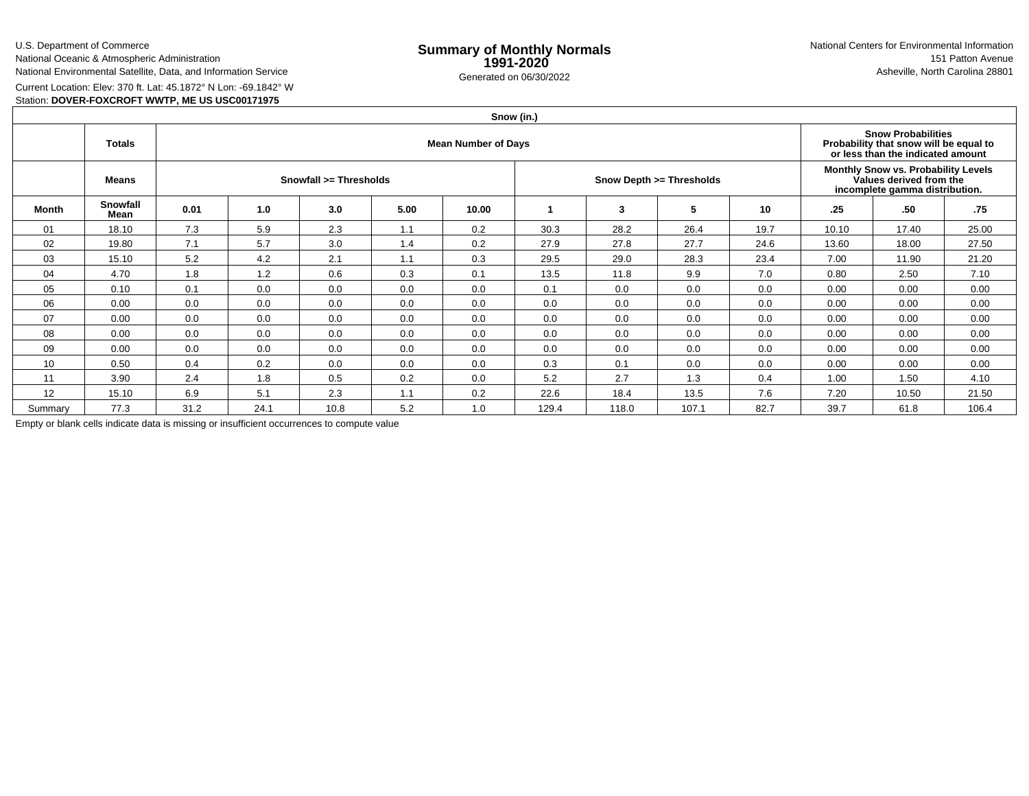U.S. Department of CommerceNational Oceanic & Atmospheric Administration

National Environmental Satellite, Data, and Information Service

e **Summary of Monthly Normals**<br> **1991-2020** 151 Patton Avenue **1991-2020** 1997-2020 e Generated on 06/30/2022 Asheville, North Carolina 28801 National Centers for Environmental Information151 Patton Avenue

Current Location: Elev: 370 ft. Lat: 45.1872° N Lon: -69.1842° W

# Station: **DOVER-FOXCROFT WWTP, ME US USC00171975**

|         | Snow (in.)       |                            |      |      |      |       |       |       |                          |      |                                                                                                  |                                                                                                          |       |  |  |
|---------|------------------|----------------------------|------|------|------|-------|-------|-------|--------------------------|------|--------------------------------------------------------------------------------------------------|----------------------------------------------------------------------------------------------------------|-------|--|--|
|         | <b>Totals</b>    | <b>Mean Number of Days</b> |      |      |      |       |       |       |                          |      |                                                                                                  | <b>Snow Probabilities</b><br>Probability that snow will be equal to<br>or less than the indicated amount |       |  |  |
|         | <b>Means</b>     | Snowfall >= Thresholds     |      |      |      |       |       |       | Snow Depth >= Thresholds |      | Monthly Snow vs. Probability Levels<br>Values derived from the<br>incomplete gamma distribution. |                                                                                                          |       |  |  |
| Month   | Snowfall<br>Mean | 0.01                       | 1.0  | 3.0  | 5.00 | 10.00 |       | 3     | 5                        | 10   | .25                                                                                              | .50                                                                                                      | .75   |  |  |
| 01      | 18.10            | 7.3                        | 5.9  | 2.3  | 1.1  | 0.2   | 30.3  | 28.2  | 26.4                     | 19.7 | 10.10                                                                                            | 17.40                                                                                                    | 25.00 |  |  |
| 02      | 19.80            | 7.1                        | 5.7  | 3.0  | 1.4  | 0.2   | 27.9  | 27.8  | 27.7                     | 24.6 | 13.60                                                                                            | 18.00                                                                                                    | 27.50 |  |  |
| 03      | 15.10            | 5.2                        | 4.2  | 2.1  | 1.1  | 0.3   | 29.5  | 29.0  | 28.3                     | 23.4 | 7.00                                                                                             | 11.90                                                                                                    | 21.20 |  |  |
| 04      | 4.70             | 1.8                        | 1.2  | 0.6  | 0.3  | 0.1   | 13.5  | 11.8  | 9.9                      | 7.0  | 0.80                                                                                             | 2.50                                                                                                     | 7.10  |  |  |
| 05      | 0.10             | 0.1                        | 0.0  | 0.0  | 0.0  | 0.0   | 0.1   | 0.0   | 0.0                      | 0.0  | 0.00                                                                                             | 0.00                                                                                                     | 0.00  |  |  |
| 06      | 0.00             | 0.0                        | 0.0  | 0.0  | 0.0  | 0.0   | 0.0   | 0.0   | 0.0                      | 0.0  | 0.00                                                                                             | 0.00                                                                                                     | 0.00  |  |  |
| 07      | 0.00             | 0.0                        | 0.0  | 0.0  | 0.0  | 0.0   | 0.0   | 0.0   | 0.0                      | 0.0  | 0.00                                                                                             | 0.00                                                                                                     | 0.00  |  |  |
| 08      | 0.00             | 0.0                        | 0.0  | 0.0  | 0.0  | 0.0   | 0.0   | 0.0   | 0.0                      | 0.0  | 0.00                                                                                             | 0.00                                                                                                     | 0.00  |  |  |
| 09      | 0.00             | 0.0                        | 0.0  | 0.0  | 0.0  | 0.0   | 0.0   | 0.0   | 0.0                      | 0.0  | 0.00                                                                                             | 0.00                                                                                                     | 0.00  |  |  |
| 10      | 0.50             | 0.4                        | 0.2  | 0.0  | 0.0  | 0.0   | 0.3   | 0.1   | 0.0                      | 0.0  | 0.00                                                                                             | 0.00                                                                                                     | 0.00  |  |  |
| 11      | 3.90             | 2.4                        | 1.8  | 0.5  | 0.2  | 0.0   | 5.2   | 2.7   | 1.3                      | 0.4  | 1.00                                                                                             | 1.50                                                                                                     | 4.10  |  |  |
| 12      | 15.10            | 6.9                        | 5.1  | 2.3  | 1.1  | 0.2   | 22.6  | 18.4  | 13.5                     | 7.6  | 7.20                                                                                             | 10.50                                                                                                    | 21.50 |  |  |
| Summary | 77.3             | 31.2                       | 24.1 | 10.8 | 5.2  | 1.0   | 129.4 | 118.0 | 107.1                    | 82.7 | 39.7                                                                                             | 61.8                                                                                                     | 106.4 |  |  |

Empty or blank cells indicate data is missing or insufficient occurrences to compute value